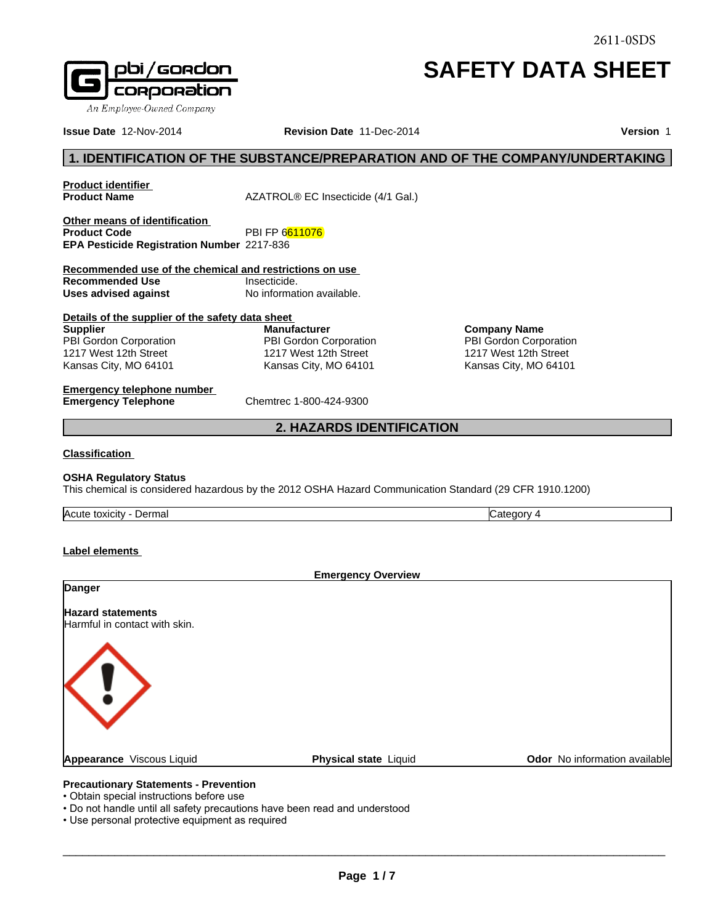# **SAFETY DATA SHEET**

**Company Name** PBI Gordon Corporation 1217 West 12th Street Kansas City, MO 64101

**Issue Date** 12-Nov-2014 **Revision Date** 11-Dec-2014 **Version** 1

# **1. IDENTIFICATION OF THE SUBSTANCE/PREPARATION AND OF THE COMPANY/UNDERTAKING**<br> **1. IDENTIFICATION OF THE SUBSTANCE/PREPARATION AND OF THE COMPANY/UNDERTAKING**<br> **1. IDENTIFICATION OF THE SUBSTANCE/PREPARATION AND OF THE C**

**Product identifier** 

**Product Name** AZATROL® EC Insecticide (4/1 Gal.)

**Other means of identification**<br>**Product Code PBI FP 6611076 EPA Pesticide Registration Number** 2217-836

**Recommended use of the chemical and restrictions on use Recommended Use Insecticide.**<br> **Uses advised against International Monometric Contrational Uses Uses advised against** <sup>2</sup> 6611076<br>
336<br> **2. Exercitions on use**<br>
2. Company Name<br>
2. Hazard Corporation<br>
2. HAZARDS IDENTIFICATION<br>
2. HAZARDS IDENTIFICATION

**Details of the supplier of the safety data sheet Supplier** PBI Gordon Corporation 1217 West 12th Street Kansas City, MO 64101 **Manufacturer** PBI Gordon Corporation 1217 West 12th Street Kansas City, MO 64101

**Emergency telephone number Emergency Telephone** Chemtrec 1-800-424-9300

# **Classification**

# **OSHA Regulatory Status**

This chemical is considered hazardous by the 2012 OSHA Hazard Communication Standard (29 CFR 1910.1200)

Acute toxicity - Dermal **Category 4** Category 4

**Label elements** 

|                                                           | <b>Emergency Overview</b>    |                               |
|-----------------------------------------------------------|------------------------------|-------------------------------|
| Danger                                                    |                              |                               |
| <b>Hazard statements</b><br>Harmful in contact with skin. |                              |                               |
| KI.                                                       |                              |                               |
| Appearance Viscous Liquid                                 | <b>Physical state Liquid</b> | Odor No information available |

- Do not handle until all safety precautions have been read and understood
- Use personal protective equipment as required

 $\_$  ,  $\_$  ,  $\_$  ,  $\_$  ,  $\_$  ,  $\_$  ,  $\_$  ,  $\_$  ,  $\_$  ,  $\_$  ,  $\_$  ,  $\_$  ,  $\_$  ,  $\_$  ,  $\_$  ,  $\_$  ,  $\_$  ,  $\_$  ,  $\_$  ,  $\_$  ,  $\_$  ,  $\_$  ,  $\_$  ,  $\_$  ,  $\_$  ,  $\_$  ,  $\_$  ,  $\_$  ,  $\_$  ,  $\_$  ,  $\_$  ,  $\_$  ,  $\_$  ,  $\_$  ,  $\_$  ,  $\_$  ,  $\_$  ,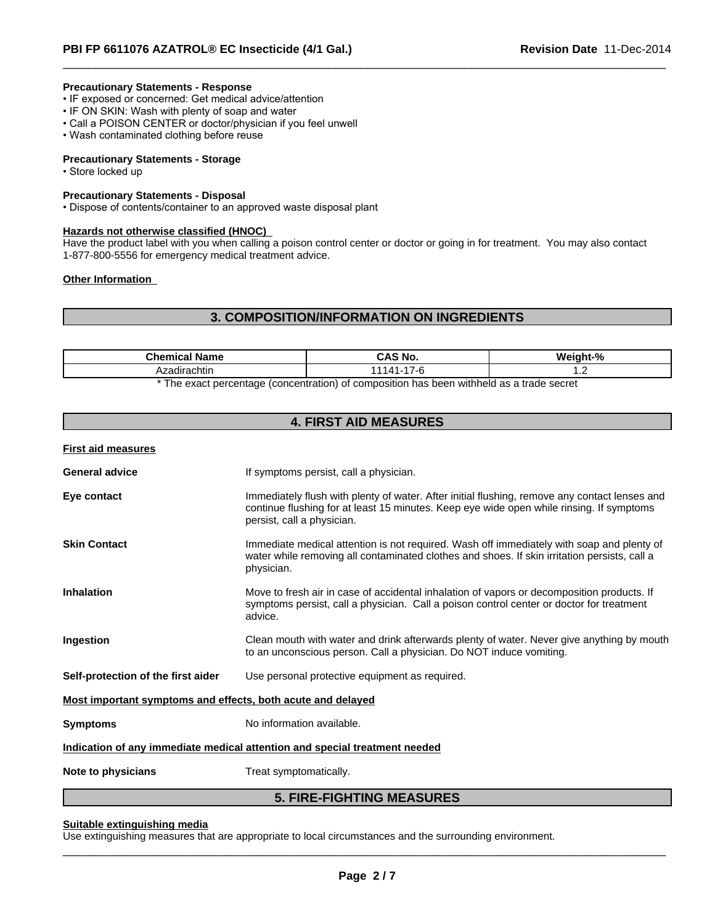# **Precautionary Statements - Response**

- IF exposed or concerned: Get medical advice/attention
- IF ON SKIN: Wash with plenty of soap and water
- Call a POISON CENTER or doctor/physician if you feel unwell
- Wash contaminated clothing before reuse

# **Precautionary Statements - Storage**

• Store locked up

# **Precautionary Statements - Disposal**

• Dispose of contents/container to an approved waste disposal plant

# **Hazards not otherwise classified (HNOC)**

Have the product label with you when calling a poison control center or doctor or going in for treatment. You may also contact 1-877-800-5556 for emergency medical treatment advice.

# **Other Information**

# **3. COMPOSITION/INFORMATION ON INGREDIENTS**

| <b>\zadirachtin</b><br>$\cdot$ | ™hom<br>Name<br>nical<br>. | <b>Nc</b><br>$\overline{\phantom{a}}$ | п.<br>.<br>והוח<br>" |  |
|--------------------------------|----------------------------|---------------------------------------|----------------------|--|
|                                |                            |                                       |                      |  |

\* The exact percentage (concentration) of composition has been withheld as a trade secret

# **4. FIRST AID MEASURES**

**First aid measures**

| <b>General advice</b>                                                      | If symptoms persist, call a physician.                                                                                                                                                                                  |  |
|----------------------------------------------------------------------------|-------------------------------------------------------------------------------------------------------------------------------------------------------------------------------------------------------------------------|--|
| Eye contact                                                                | Immediately flush with plenty of water. After initial flushing, remove any contact lenses and<br>continue flushing for at least 15 minutes. Keep eye wide open while rinsing. If symptoms<br>persist, call a physician. |  |
| <b>Skin Contact</b>                                                        | Immediate medical attention is not required. Wash off immediately with soap and plenty of<br>water while removing all contaminated clothes and shoes. If skin irritation persists, call a<br>physician.                 |  |
| <b>Inhalation</b>                                                          | Move to fresh air in case of accidental inhalation of vapors or decomposition products. If<br>symptoms persist, call a physician. Call a poison control center or doctor for treatment<br>advice.                       |  |
| Ingestion                                                                  | Clean mouth with water and drink afterwards plenty of water. Never give anything by mouth<br>to an unconscious person. Call a physician. Do NOT induce vomiting.                                                        |  |
| Self-protection of the first aider                                         | Use personal protective equipment as required.                                                                                                                                                                          |  |
| Most important symptoms and effects, both acute and delayed                |                                                                                                                                                                                                                         |  |
| <b>Symptoms</b>                                                            | No information available.                                                                                                                                                                                               |  |
| Indication of any immediate medical attention and special treatment needed |                                                                                                                                                                                                                         |  |
| Note to physicians                                                         | Treat symptomatically.                                                                                                                                                                                                  |  |
|                                                                            |                                                                                                                                                                                                                         |  |

# **5. FIRE-FIGHTING MEASURES**

# **Suitable extinguishing media**

Use extinguishing measures that are appropriate to local circumstances and the surrounding environment.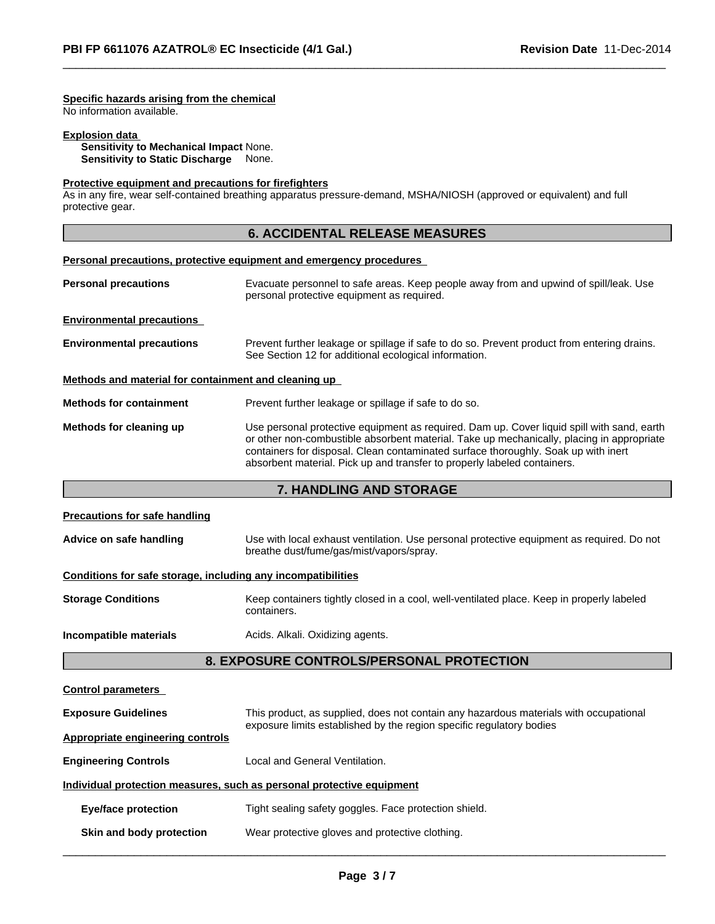# **Specific hazards arising from the chemical**

No information available.

# **Explosion data**

**Sensitivity to Mechanical Impact** None. **Sensitivity to Static Discharge** None.

# **Protective equipment and precautions for firefighters**

**Personal precautions, protective equipment and emergency procedures** 

As in any fire, wear self-contained breathing apparatus pressure-demand, MSHA/NIOSH (approved or equivalent) and full protective gear.

# **6. ACCIDENTAL RELEASE MEASURES**

| <b>Personal precautions</b>                          | Evacuate personnel to safe areas. Keep people away from and upwind of spill/leak. Use<br>personal protective equipment as required.                                                                                                                                                                                                                       |
|------------------------------------------------------|-----------------------------------------------------------------------------------------------------------------------------------------------------------------------------------------------------------------------------------------------------------------------------------------------------------------------------------------------------------|
| <b>Environmental precautions</b>                     |                                                                                                                                                                                                                                                                                                                                                           |
| <b>Environmental precautions</b>                     | Prevent further leakage or spillage if safe to do so. Prevent product from entering drains.<br>See Section 12 for additional ecological information.                                                                                                                                                                                                      |
| Methods and material for containment and cleaning up |                                                                                                                                                                                                                                                                                                                                                           |
| <b>Methods for containment</b>                       | Prevent further leakage or spillage if safe to do so.                                                                                                                                                                                                                                                                                                     |
| Methods for cleaning up                              | Use personal protective equipment as required. Dam up. Cover liquid spill with sand, earth<br>or other non-combustible absorbent material. Take up mechanically, placing in appropriate<br>containers for disposal. Clean contaminated surface thoroughly. Soak up with inert<br>absorbent material. Pick up and transfer to properly labeled containers. |

# **7. HANDLING AND STORAGE**

| <b>Precautions for safe handling</b>                                  |                                                                                                                                                               |  |
|-----------------------------------------------------------------------|---------------------------------------------------------------------------------------------------------------------------------------------------------------|--|
| Advice on safe handling                                               | Use with local exhaust ventilation. Use personal protective equipment as required. Do not<br>breathe dust/fume/gas/mist/vapors/spray.                         |  |
| Conditions for safe storage, including any incompatibilities          |                                                                                                                                                               |  |
| <b>Storage Conditions</b>                                             | Keep containers tightly closed in a cool, well-ventilated place. Keep in properly labeled<br>containers.                                                      |  |
| Incompatible materials                                                | Acids. Alkali. Oxidizing agents.                                                                                                                              |  |
|                                                                       | <b>8. EXPOSURE CONTROLS/PERSONAL PROTECTION</b>                                                                                                               |  |
| <b>Control parameters</b>                                             |                                                                                                                                                               |  |
| <b>Exposure Guidelines</b>                                            | This product, as supplied, does not contain any hazardous materials with occupational<br>exposure limits established by the region specific regulatory bodies |  |
| <b>Appropriate engineering controls</b>                               |                                                                                                                                                               |  |
| <b>Engineering Controls</b>                                           | Local and General Ventilation.                                                                                                                                |  |
| Individual protection measures, such as personal protective equipment |                                                                                                                                                               |  |
| <b>Eye/face protection</b>                                            | Tight sealing safety goggles. Face protection shield.                                                                                                         |  |
| <b>Skin and body protection</b>                                       | Wear protective gloves and protective clothing.                                                                                                               |  |
|                                                                       |                                                                                                                                                               |  |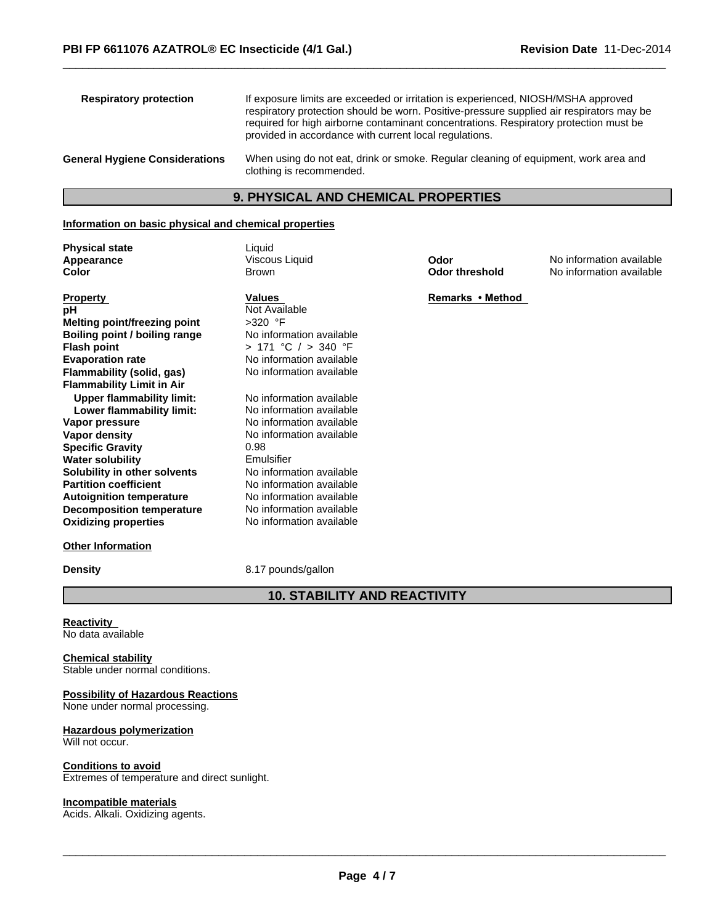| <b>Respiratory protection</b>         | If exposure limits are exceeded or irritation is experienced, NIOSH/MSHA approved<br>respiratory protection should be worn. Positive-pressure supplied air respirators may be<br>required for high airborne contaminant concentrations. Respiratory protection must be<br>provided in accordance with current local regulations. |
|---------------------------------------|----------------------------------------------------------------------------------------------------------------------------------------------------------------------------------------------------------------------------------------------------------------------------------------------------------------------------------|
| <b>General Hygiene Considerations</b> | When using do not eat, drink or smoke. Regular cleaning of equipment, work area and<br>clothing is recommended.                                                                                                                                                                                                                  |

# **9. PHYSICAL AND CHEMICAL PROPERTIES**

# **Information on basic physical and chemical properties**

**Physical state**<br> **Appearance** Manual State Viscous Liquid<br>
Uiscous Liquid

| <b>Property</b>                  | Values                   | <b>Remarks</b> |
|----------------------------------|--------------------------|----------------|
| рH                               | Not Available            |                |
| Melting point/freezing point     | $>320$ °F                |                |
| Boiling point / boiling range    | No information available |                |
| <b>Flash point</b>               | > 171 °C / > 340 °F      |                |
| <b>Evaporation rate</b>          | No information available |                |
| Flammability (solid, gas)        | No information available |                |
| <b>Flammability Limit in Air</b> |                          |                |
| Upper flammability limit:        | No information available |                |
| Lower flammability limit:        | No information available |                |
| Vapor pressure                   | No information available |                |
| Vapor density                    | No information available |                |
| <b>Specific Gravity</b>          | 0.98                     |                |
| <b>Water solubility</b>          | Emulsifier               |                |
| Solubility in other solvents     | No information available |                |
| <b>Partition coefficient</b>     | No information available |                |
| <b>Autoignition temperature</b>  | No information available |                |
| <b>Decomposition temperature</b> | No information available |                |
| <b>Oxidizing properties</b>      | No information available |                |
|                                  |                          |                |

# **Other Information**

**Density** 8.17 pounds/gallon

**10. STABILITY AND REACTIVITY**

**Reactivity**  No data available

### **Chemical stability** Stable under normal conditions.

# **Possibility of Hazardous Reactions** None under normal processing.

**Hazardous polymerization** Will not occur.

# **Conditions to avoid**

Extremes of temperature and direct sunlight.

# **Incompatible materials**

Acids. Alkali. Oxidizing agents.

**Appearance Viscous Liquid Odor Odor** No information available **Color No information available Color Color No** information available **No information available** 

**Property Values Remarks•Method**

**Page 4 / 7**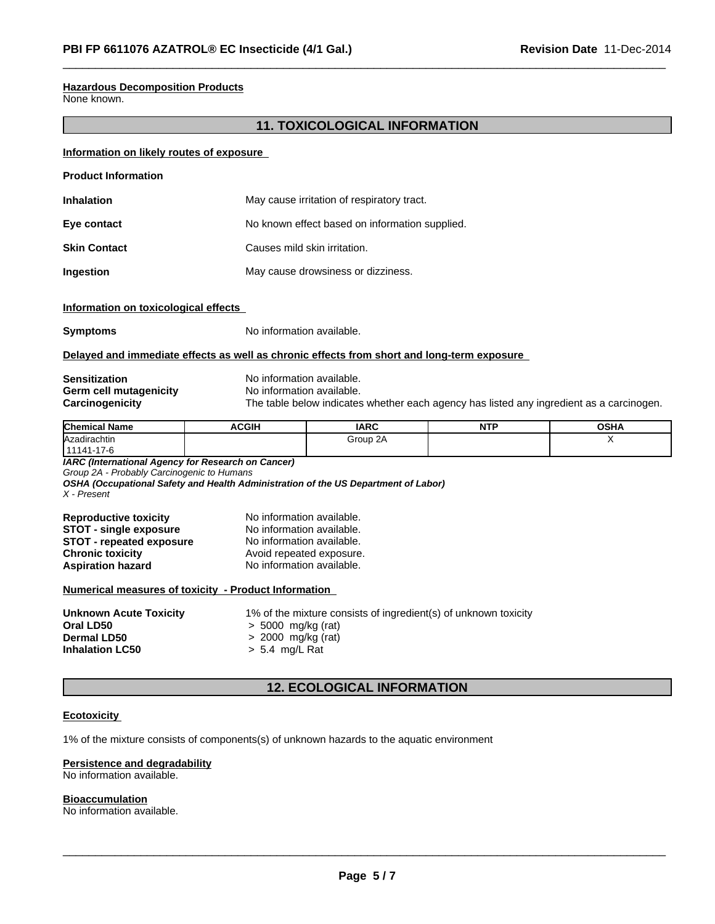# **Hazardous Decomposition Products**

None known.

# **11. TOXICOLOGICAL INFORMATION**

# **Information on likely routes of exposure**

| <b>Product Information</b> |                                                |
|----------------------------|------------------------------------------------|
| <b>Inhalation</b>          | May cause irritation of respiratory tract.     |
| Eye contact                | No known effect based on information supplied. |
| <b>Skin Contact</b>        | Causes mild skin irritation.                   |
| Ingestion                  | May cause drowsiness or dizziness.             |

# **Information on toxicological effects**

**Symptoms** No information available.

# **Delayed and immediate effects as well as chronic effects from short and long-term exposure**

# **Sensitization**<br> **Serm cell mutagenicity**<br> **No information available.**<br>
No information available. **Germ cell mutagenicity** No information available.<br> **Carcinogenicity** The table below indicates

The table below indicates whether each agency has listed any ingredient as a carcinogen.

| <b>Chemical Name</b> | <b>ACGIH</b> | <b>IARC</b> | <b>NIT</b><br>. | <b>OSHA</b> |
|----------------------|--------------|-------------|-----------------|-------------|
| Azadirachtin         |              | Group 2A    |                 | $\cdot$ .   |
| 11141-17-6           |              |             |                 |             |

*IARC (International Agency for Research on Cancer)*

*Group 2A - Probably Carcinogenic to Humans*

*OSHA (Occupational Safety and Health Administration of the US Department of Labor) X - Present*

| <b>Reproductive toxicity</b>    | No information available. |
|---------------------------------|---------------------------|
| <b>STOT - single exposure</b>   | No information available. |
| <b>STOT - repeated exposure</b> | No information available. |
| <b>Chronic toxicity</b>         | Avoid repeated exposure.  |
| <b>Aspiration hazard</b>        | No information available. |

# **Numerical measures of toxicity - Product Information**

| <b>Unknown Acute Toxicity</b> | 1% of the mixture consists of ingredient(s) of unknown toxicity |
|-------------------------------|-----------------------------------------------------------------|
| Oral LD50                     | $> 5000$ mg/kg (rat)                                            |
| <b>Dermal LD50</b>            | $> 2000$ mg/kg (rat)                                            |
| <b>Inhalation LC50</b>        | > 5.4 mg/L Rat                                                  |
|                               |                                                                 |

# **12. ECOLOGICAL INFORMATION**

# **Ecotoxicity**

1% of the mixture consists of components(s) of unknown hazards to the aquatic environment

# **Persistence and degradability**

No information available.

# **Bioaccumulation**

No information available.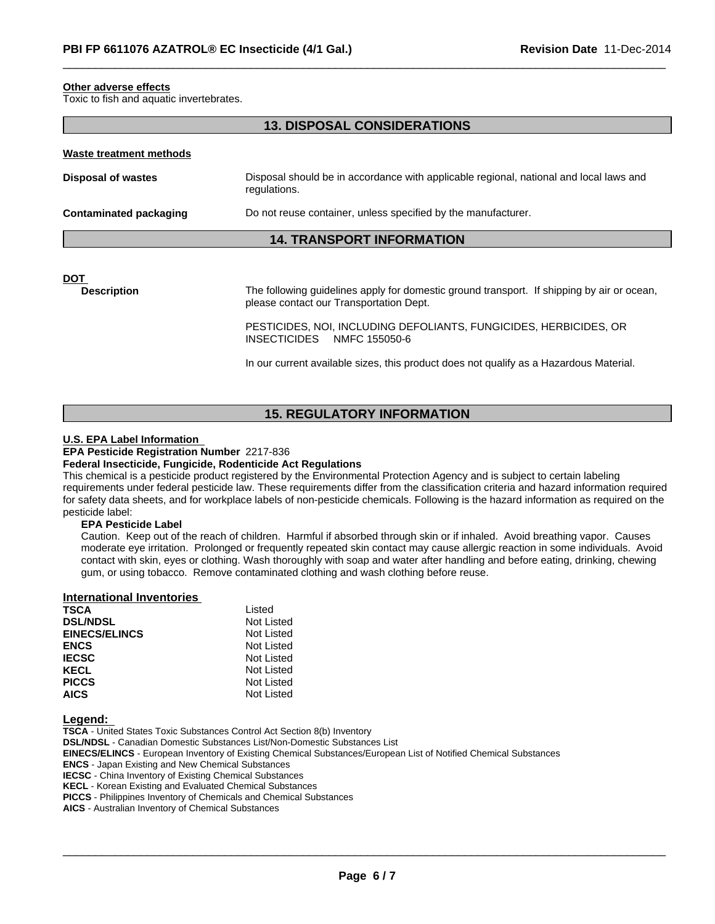# **Other adverse effects**

Toxic to fish and aquatic invertebrates.

# **13. DISPOSAL CONSIDERATIONS**

# **Waste treatment methods**

| <b>Disposal of wastes</b>     | Disposal should be in accordance with applicable regional, national and local laws and<br>regulations. |
|-------------------------------|--------------------------------------------------------------------------------------------------------|
| <b>Contaminated packaging</b> | Do not reuse container, unless specified by the manufacturer.                                          |

# **14. TRANSPORT INFORMATION**

**DOT** 

**Description** The following guidelines apply for domestic ground transport. If shipping by air or ocean, please contact our Transportation Dept.

> PESTICIDES, NOI, INCLUDING DEFOLIANTS, FUNGICIDES, HERBICIDES, OR INSECTICIDES NMFC 155050-6

In our current available sizes, this product does not qualify as a Hazardous Material.

# **15. REGULATORY INFORMATION**

# **U.S. EPA Label Information**

# **EPA Pesticide Registration Number** 2217-836

# **Federal Insecticide, Fungicide, Rodenticide Act Regulations**

This chemical is a pesticide product registered by the Environmental Protection Agency and is subject to certain labeling requirements under federal pesticide law. These requirements differ from the classification criteria and hazard information required for safety data sheets, and for workplace labels of non-pesticide chemicals. Following is the hazard information as required on the pesticide label:

# **EPA Pesticide Label**

Caution. Keep out of the reach of children. Harmful if absorbed through skin or if inhaled. Avoid breathing vapor. Causes moderate eye irritation. Prolonged or frequently repeated skin contact may cause allergic reaction in some individuals. Avoid contact with skin, eyes or clothing. Wash thoroughly with soap and water after handling and before eating, drinking, chewing gum, or using tobacco. Remove contaminated clothing and wash clothing before reuse.

# **International Inventories**

| <b>TSCA</b>          | Listed     |
|----------------------|------------|
| <b>DSL/NDSL</b>      | Not Listed |
| <b>EINECS/ELINCS</b> | Not Listed |
| <b>ENCS</b>          | Not Listed |
| <b>IECSC</b>         | Not Listed |
| <b>KECL</b>          | Not Listed |
| <b>PICCS</b>         | Not Listed |
| <b>AICS</b>          | Not Listed |

# **Legend:**

**TSCA** - United States Toxic Substances Control Act Section 8(b) Inventory **DSL/NDSL** - Canadian Domestic Substances List/Non-Domestic Substances List **EINECS/ELINCS** - European Inventory of Existing Chemical Substances/European List of Notified Chemical Substances **ENCS** - Japan Existing and New Chemical Substances **IECSC** - China Inventory of Existing Chemical Substances **KECL** - Korean Existing and Evaluated Chemical Substances **PICCS** - Philippines Inventory of Chemicals and Chemical Substances **AICS** - Australian Inventory of Chemical Substances